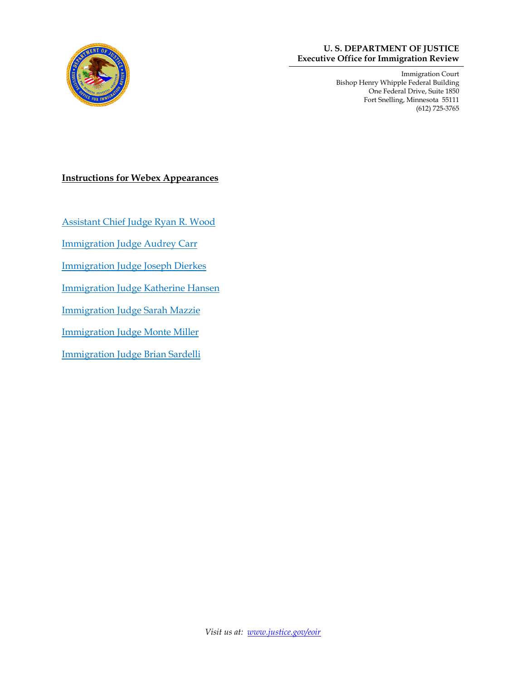

#### **U. S. DEPARTMENT OF JUSTICE Executive Office for Immigration Review**

Immigration Court Bishop Henry Whipple Federal Building One Federal Drive, Suite 1850 Fort Snelling, Minnesota 55111 (612) 725-3765

#### **Instructions for Webex Appearances**

[Assistant Chief Judge Ryan R. Wood](#page-1-0)

[Immigration Judge Audrey Carr](#page-2-0)

[Immigration Judge Joseph Dierkes](#page-3-0)

[Immigration Judge Katherine Hansen](#page-4-0)

[Immigration Judge Sarah Mazzie](#page-5-0)

[Immigration Judge Monte Miller](#page-6-0)

[Immigration Judge Brian Sardelli](#page-7-0)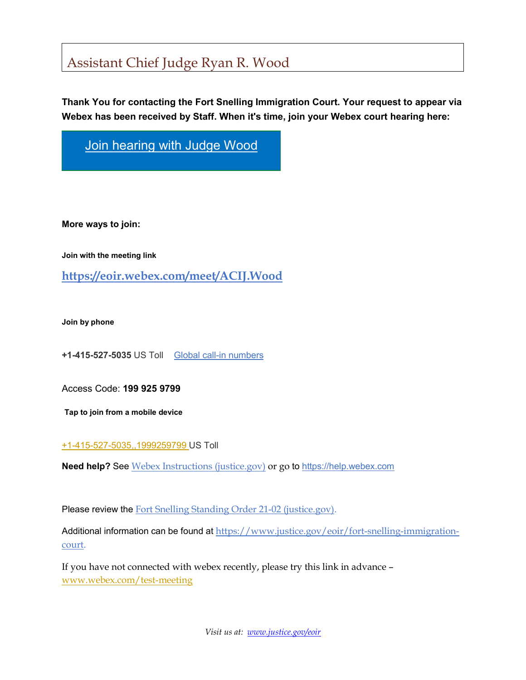# <span id="page-1-0"></span>Assistant Chief Judge Ryan R. Wood

**Thank You for contacting the Fort Snelling Immigration Court. Your request to appear via Webex has been received by Staff. When it's time, join your Webex court hearing here:**

[Join hearing with Judge Wood](https://eoir.webex.com/meet/ACIJ.Wood)

**More ways to join:** 

**Join with the meeting link** 

**<https://eoir.webex.com/meet/ACIJ.Wood>**

**Join by phone**

**+1-415-527-5035** US Toll [Global call-in numbers](https://eoir.webex.com/eoir/globalcallin.php?MTID=m70594f198ae3ce51fc661d01b6371a30)

Access Code: **199 925 9799**

**Tap to join from a mobile device**

[+1-415-527-5035,,1999259799](tel:%2B1-415-527-5035,,1999259799#,,) US Toll

**Need help?** See [Webex Instructions \(justice.gov\)](https://www.justice.gov/eoir/page/file/1339071/download) or go to [https://help.webex.com](https://help.webex.com/)

Please review the **Fort Snelling Standing Order 21-02** (justice.gov).

Additional information can be found at [https://www.justice.gov/eoir/fort-snelling-immigration](https://www.justice.gov/eoir/fort-snelling-immigration-court)[court.](https://www.justice.gov/eoir/fort-snelling-immigration-court)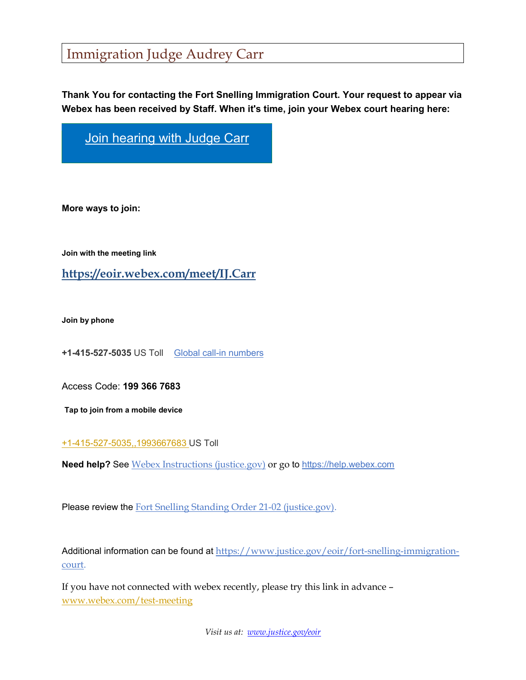## <span id="page-2-0"></span>Immigration Judge Audrey Carr

**Thank You for contacting the Fort Snelling Immigration Court. Your request to appear via Webex has been received by Staff. When it's time, join your Webex court hearing here:**

[Join hearing with Judge Carr](https://eoir.webex.com/meet/IJ.Carr)

**More ways to join:** 

**Join with the meeting link** 

**<https://eoir.webex.com/meet/IJ.Carr>**

**Join by phone**

**+1-415-527-5035** US Toll [Global call-in numbers](https://eoir.webex.com/eoir/globalcallin.php?MTID=m70594f198ae3ce51fc661d01b6371a30)

Access Code: **199 366 7683**

**Tap to join from a mobile device**

[+1-415-527-5035,,1993667683](tel:%2B1-415-527-5035,,1993667683#,,) US Toll

**Need help?** See [Webex Instructions \(justice.gov\)](https://www.justice.gov/eoir/page/file/1339071/download) or go to [https://help.webex.com](https://help.webex.com/)

Please review the [Fort Snelling Standing Order 21-02 \(justice.gov\).](https://www.justice.gov/eoir/page/file/1438046/download)

Additional information can be found at [https://www.justice.gov/eoir/fort-snelling-immigration](https://www.justice.gov/eoir/fort-snelling-immigration-court)[court.](https://www.justice.gov/eoir/fort-snelling-immigration-court)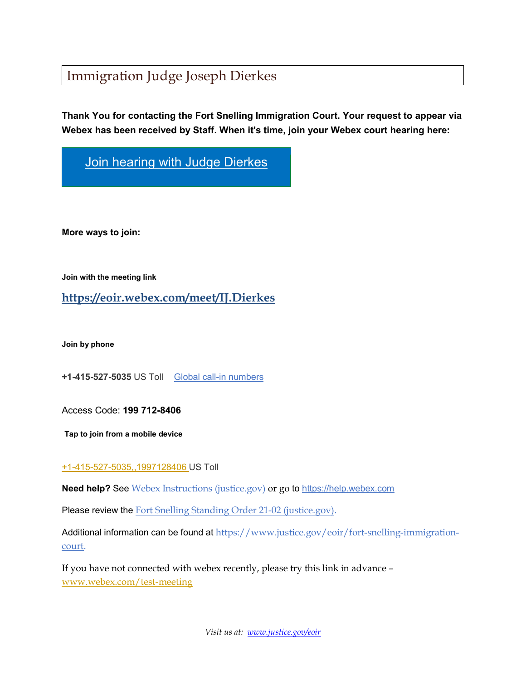## <span id="page-3-0"></span>Immigration Judge Joseph Dierkes

**Thank You for contacting the Fort Snelling Immigration Court. Your request to appear via Webex has been received by Staff. When it's time, join your Webex court hearing here:**

[Join hearing with Judge Dierkes](https://eoir.webex.com/meet/IJ.Dierkes)

**More ways to join:** 

**Join with the meeting link** 

**<https://eoir.webex.com/meet/IJ.Dierkes>**

**Join by phone**

**+1-415-527-5035** US Toll [Global call-in numbers](https://eoir.webex.com/eoir/globalcallin.php?MTID=m70594f198ae3ce51fc661d01b6371a30)

Access Code: **199 712-8406**

**Tap to join from a mobile device**

#### [+1-415-527-5035,,1997128406](tel:%2B1-415-527-5035,,1997128406#,,) US Toll

**Need help?** See [Webex Instructions \(justice.gov\)](https://www.justice.gov/eoir/page/file/1339071/download) or go to [https://help.webex.com](https://help.webex.com/)

Please review the [Fort Snelling Standing Order 21-02 \(justice.gov\).](https://www.justice.gov/eoir/page/file/1438046/download)

Additional information can be found at [https://www.justice.gov/eoir/fort-snelling-immigration](https://www.justice.gov/eoir/fort-snelling-immigration-court)[court.](https://www.justice.gov/eoir/fort-snelling-immigration-court)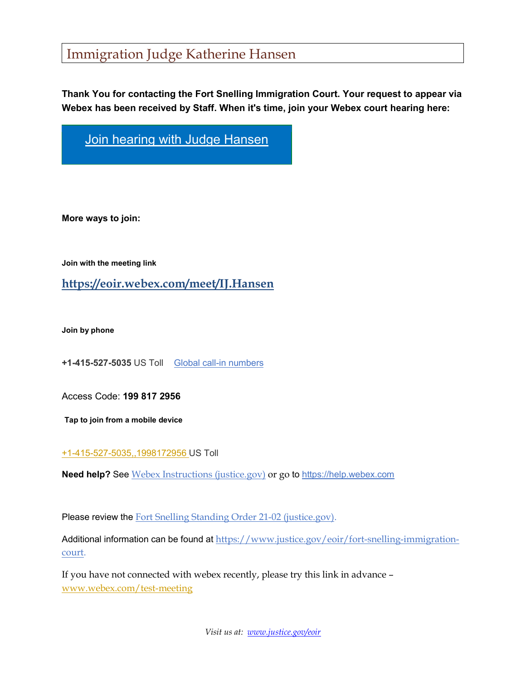## <span id="page-4-0"></span>Immigration Judge Katherine Hansen

**Thank You for contacting the Fort Snelling Immigration Court. Your request to appear via Webex has been received by Staff. When it's time, join your Webex court hearing here:**

**[Join hearing with Judge Hansen](https://eoir.webex.com/meet/IJ.Hansen)** 

**More ways to join:** 

**Join with the meeting link** 

**<https://eoir.webex.com/meet/IJ.Hansen>**

**Join by phone**

**+1-415-527-5035** US Toll [Global call-in numbers](https://eoir.webex.com/eoir/globalcallin.php?MTID=m70594f198ae3ce51fc661d01b6371a30)

Access Code: **199 817 2956**

**Tap to join from a mobile device**

[+1-415-527-5035,,1998172956](tel:%2B1-415-527-5035,,1998172956#,,) US Toll

**Need help?** See [Webex Instructions \(justice.gov\)](https://www.justice.gov/eoir/page/file/1339071/download) or go to [https://help.webex.com](https://help.webex.com/)

Please review the **Fort Snelling Standing Order 21-02** (justice.gov).

Additional information can be found at [https://www.justice.gov/eoir/fort-snelling-immigration](https://www.justice.gov/eoir/fort-snelling-immigration-court)[court.](https://www.justice.gov/eoir/fort-snelling-immigration-court)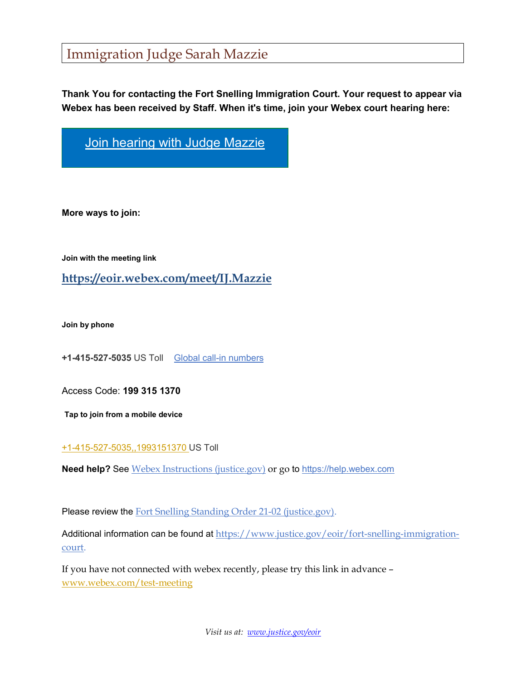## <span id="page-5-0"></span>Immigration Judge Sarah Mazzie

**Thank You for contacting the Fort Snelling Immigration Court. Your request to appear via Webex has been received by Staff. When it's time, join your Webex court hearing here:**

[Join hearing with Judge Mazzie](https://eoir.webex.com/meet/IJ.Mazzie)

**More ways to join:** 

**Join with the meeting link** 

**<https://eoir.webex.com/meet/IJ.Mazzie>**

**Join by phone**

**+1-415-527-5035** US Toll [Global call-in numbers](https://eoir.webex.com/eoir/globalcallin.php?MTID=m70594f198ae3ce51fc661d01b6371a30)

Access Code: **199 315 1370**

**Tap to join from a mobile device**

[+1-415-527-5035,,1993151370](tel:%2B1-415-527-5035,,1993151370#,,) US Toll

**Need help?** See [Webex Instructions \(justice.gov\)](https://www.justice.gov/eoir/page/file/1339071/download) or go to [https://help.webex.com](https://help.webex.com/)

Please review the [Fort Snelling Standing Order 21-02 \(justice.gov\).](https://www.justice.gov/eoir/page/file/1438046/download)

Additional information can be found at [https://www.justice.gov/eoir/fort-snelling-immigration](https://www.justice.gov/eoir/fort-snelling-immigration-court)[court.](https://www.justice.gov/eoir/fort-snelling-immigration-court)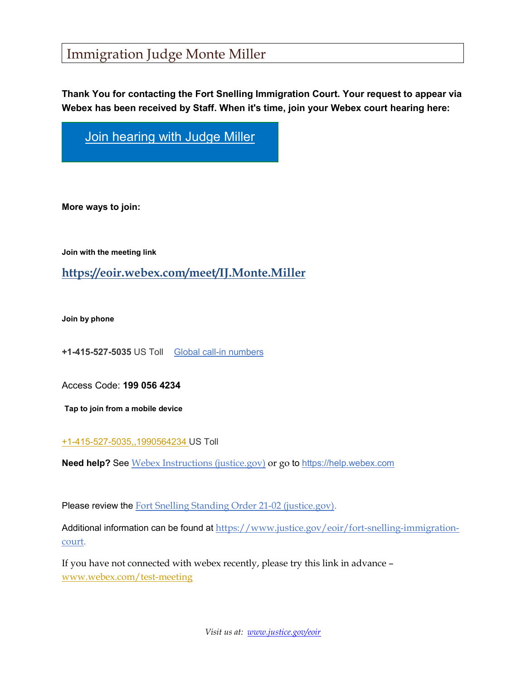## <span id="page-6-0"></span>Immigration Judge Monte Miller

**Thank You for contacting the Fort Snelling Immigration Court. Your request to appear via Webex has been received by Staff. When it's time, join your Webex court hearing here:**

[Join hearing with Judge Miller](https://eoir.webex.com/meet/IJ.Monte.Miller)

**More ways to join:** 

**Join with the meeting link** 

#### **<https://eoir.webex.com/meet/IJ.Monte.Miller>**

**Join by phone**

**+1-415-527-5035** US Toll [Global call-in numbers](https://eoir.webex.com/eoir/globalcallin.php?MTID=m70594f198ae3ce51fc661d01b6371a30)

Access Code: **199 056 4234**

**Tap to join from a mobile device**

#### [+1-415-527-5035,,1990564234](tel:%2B1-415-527-5035,,1990564234#,,) US Toll

**Need help?** See [Webex Instructions \(justice.gov\)](https://www.justice.gov/eoir/page/file/1339071/download) or go to [https://help.webex.com](https://help.webex.com/)

Please review the [Fort Snelling Standing Order 21-02 \(justice.gov\).](https://www.justice.gov/eoir/page/file/1438046/download)

Additional information can be found at [https://www.justice.gov/eoir/fort-snelling-immigration](https://www.justice.gov/eoir/fort-snelling-immigration-court)[court.](https://www.justice.gov/eoir/fort-snelling-immigration-court)